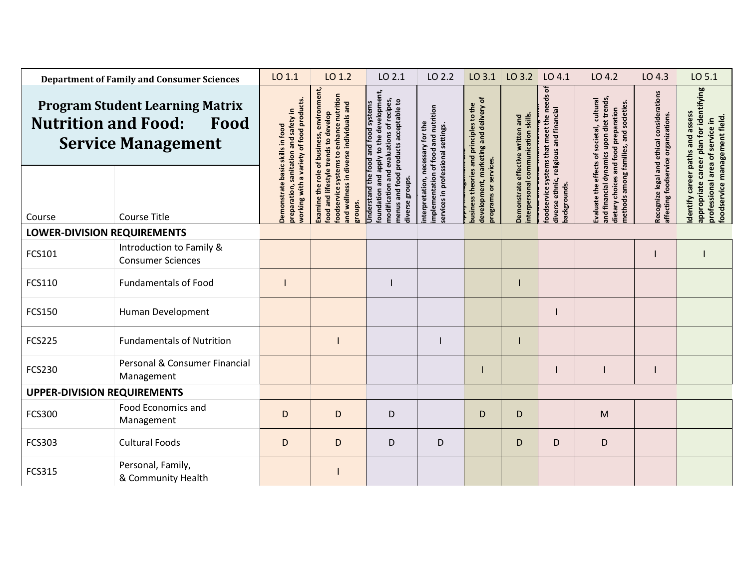| <b>Department of Family and Consumer Sciences</b>                                                         |                                                      | LO 1.1                                                                   | LO 1.2                                                                                             | LO 2.1                                                                                                                                                               | LO 2.2                                                                                         | $LO$ 3.1                                                                          | LO 3.2 LO 4.1                                              |                                                  | LO 4.2                                                                                                                                                                   | LO 4.3                                                                             | LO 5.1                                                                     |
|-----------------------------------------------------------------------------------------------------------|------------------------------------------------------|--------------------------------------------------------------------------|----------------------------------------------------------------------------------------------------|----------------------------------------------------------------------------------------------------------------------------------------------------------------------|------------------------------------------------------------------------------------------------|-----------------------------------------------------------------------------------|------------------------------------------------------------|--------------------------------------------------|--------------------------------------------------------------------------------------------------------------------------------------------------------------------------|------------------------------------------------------------------------------------|----------------------------------------------------------------------------|
| <b>Program Student Learning Matrix</b><br><b>Nutrition and Food:</b><br>Food<br><b>Service Management</b> |                                                      | a variety of food products<br>sanitation and safety in<br>skills in food | environment,<br>oodservice systems to enhance nutrition<br>and wellness in diverse individuals and | oundation and apply to the development,<br>modification and evaluations of recipes,<br>menus and food products acceptable to<br>Understand the food and food systems | nutrition<br>and                                                                               | development, marketing and delivery of<br>ousiness theories and principles to the | written and                                                | ٣<br>diverse ethnic, religious and financial     | and financial dynamics upon diet trends,<br>Evaluate the effects of societal, cultural<br>methods among families, and societies.<br>dietary choices and food preparation | Recognize legal and ethical considerations<br>affecting foodservice organizations. | appropriate career plan for identifying<br>dentify career paths and assess |
| Course                                                                                                    | <b>Course Title</b>                                  | basi<br>vorking with<br>preparation,<br>Demonstra                        | ood and lifestyle trends to develop<br>Examine the role of business,<br>groups.                    | diverse groups.                                                                                                                                                      | nterpretation, necessary for the<br>ervices in professional settings.<br>mplementation of food | programs or services.                                                             | nterpersonal communication skills<br>Demonstrate effective | oodservice systems that meet the<br>packgrounds. |                                                                                                                                                                          |                                                                                    | foodservice management field.<br>professional area of service in           |
| <b>LOWER-DIVISION REQUIREMENTS</b>                                                                        |                                                      |                                                                          |                                                                                                    |                                                                                                                                                                      |                                                                                                |                                                                                   |                                                            |                                                  |                                                                                                                                                                          |                                                                                    |                                                                            |
| FCS101                                                                                                    | Introduction to Family &<br><b>Consumer Sciences</b> |                                                                          |                                                                                                    |                                                                                                                                                                      |                                                                                                |                                                                                   |                                                            |                                                  |                                                                                                                                                                          |                                                                                    |                                                                            |
| FCS110                                                                                                    | <b>Fundamentals of Food</b>                          |                                                                          |                                                                                                    |                                                                                                                                                                      |                                                                                                |                                                                                   |                                                            |                                                  |                                                                                                                                                                          |                                                                                    |                                                                            |
| FCS150                                                                                                    | Human Development                                    |                                                                          |                                                                                                    |                                                                                                                                                                      |                                                                                                |                                                                                   |                                                            |                                                  |                                                                                                                                                                          |                                                                                    |                                                                            |
| <b>FCS225</b>                                                                                             | <b>Fundamentals of Nutrition</b>                     |                                                                          |                                                                                                    |                                                                                                                                                                      |                                                                                                |                                                                                   |                                                            |                                                  |                                                                                                                                                                          |                                                                                    |                                                                            |
| <b>FCS230</b>                                                                                             | Personal & Consumer Financial<br>Management          |                                                                          |                                                                                                    |                                                                                                                                                                      |                                                                                                |                                                                                   |                                                            |                                                  |                                                                                                                                                                          |                                                                                    |                                                                            |
| <b>UPPER-DIVISION REQUIREMENTS</b>                                                                        |                                                      |                                                                          |                                                                                                    |                                                                                                                                                                      |                                                                                                |                                                                                   |                                                            |                                                  |                                                                                                                                                                          |                                                                                    |                                                                            |
| <b>FCS300</b>                                                                                             | Food Economics and<br>Management                     | D                                                                        | D                                                                                                  | D                                                                                                                                                                    |                                                                                                | D                                                                                 | D                                                          |                                                  | M                                                                                                                                                                        |                                                                                    |                                                                            |
| <b>FCS303</b>                                                                                             | <b>Cultural Foods</b>                                | D                                                                        | D                                                                                                  | D                                                                                                                                                                    | D                                                                                              |                                                                                   | D                                                          | D                                                | D                                                                                                                                                                        |                                                                                    |                                                                            |
| <b>FCS315</b>                                                                                             | Personal, Family,<br>& Community Health              |                                                                          |                                                                                                    |                                                                                                                                                                      |                                                                                                |                                                                                   |                                                            |                                                  |                                                                                                                                                                          |                                                                                    |                                                                            |